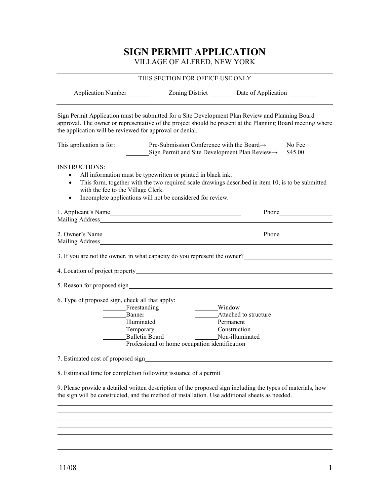## **SIGN PERMIT APPLICATION**  VILLAGE OF ALFRED, NEW YORK

| THIS SECTION FOR OFFICE USE ONLY                                                                                                                                                                                                                                                                   |                                                                                                                                      |                                                                                                             |  |
|----------------------------------------------------------------------------------------------------------------------------------------------------------------------------------------------------------------------------------------------------------------------------------------------------|--------------------------------------------------------------------------------------------------------------------------------------|-------------------------------------------------------------------------------------------------------------|--|
| Application Number                                                                                                                                                                                                                                                                                 |                                                                                                                                      | Zoning District _________ Date of Application ___                                                           |  |
| Sign Permit Application must be submitted for a Site Development Plan Review and Planning Board<br>the application will be reviewed for approval or denial.                                                                                                                                        |                                                                                                                                      | approval. The owner or representative of the project should be present at the Planning Board meeting where  |  |
| This application is for:                                                                                                                                                                                                                                                                           | <b>EXECUTE:</b> Pre-Submission Conference with the Board $\rightarrow$<br>Sign Permit and Site Development Plan Review $\rightarrow$ | No Fee<br>\$45.00                                                                                           |  |
| <b>INSTRUCTIONS:</b><br>All information must be typewritten or printed in black ink.<br>$\bullet$<br>$\bullet$<br>with the fee to the Village Clerk.<br>Incomplete applications will not be considered for review.<br>$\bullet$                                                                    |                                                                                                                                      | This form, together with the two required scale drawings described in item 10, is to be submitted           |  |
| 1. Applicant's Name                                                                                                                                                                                                                                                                                |                                                                                                                                      | <b>Phone</b>                                                                                                |  |
| 2. Owner's Name                                                                                                                                                                                                                                                                                    |                                                                                                                                      |                                                                                                             |  |
|                                                                                                                                                                                                                                                                                                    |                                                                                                                                      | 3. If you are not the owner, in what capacity do you represent the owner?                                   |  |
|                                                                                                                                                                                                                                                                                                    |                                                                                                                                      |                                                                                                             |  |
|                                                                                                                                                                                                                                                                                                    |                                                                                                                                      |                                                                                                             |  |
| 6. Type of proposed sign, check all that apply:<br>Freestanding<br>Banner<br>Illuminated<br>$\begin{array}{c}\n\overline{\phantom{1}}\phantom{1} \end{array}$ $\begin{array}{c}\n\overline{\phantom{1}}\end{array}$ $\begin{array}{c}\n\overline{\phantom{1}}\end{array}$<br><b>Bulletin Board</b> | Window<br>Permanent<br>Professional or home occupation identification                                                                | _______Attached to structure<br>Construction<br>Non-illuminated                                             |  |
| 7. Estimated cost of proposed sign                                                                                                                                                                                                                                                                 |                                                                                                                                      |                                                                                                             |  |
| 8. Estimated time for completion following issuance of a permit                                                                                                                                                                                                                                    |                                                                                                                                      |                                                                                                             |  |
| the sign will be constructed, and the method of installation. Use additional sheets as needed.                                                                                                                                                                                                     |                                                                                                                                      | 9. Please provide a detailed written description of the proposed sign including the types of materials, how |  |
|                                                                                                                                                                                                                                                                                                    |                                                                                                                                      |                                                                                                             |  |